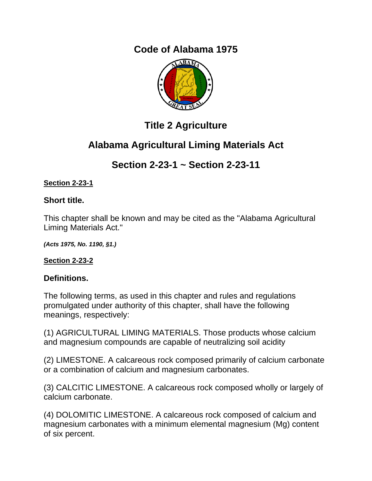# **Code of Alabama 1975**



# **Title 2 Agriculture**

# **Alabama Agricultural Liming Materials Act**

# **Section 2-23-1 ~ Section 2-23-11**

## **Section 2-23-1**

## **Short title.**

This chapter shall be known and may be cited as the "Alabama Agricultural Liming Materials Act."

*(Acts 1975, No. 1190, §1.)*

## **Section 2-23-2**

## **Definitions.**

The following terms, as used in this chapter and rules and regulations promulgated under authority of this chapter, shall have the following meanings, respectively:

(1) AGRICULTURAL LIMING MATERIALS. Those products whose calcium and magnesium compounds are capable of neutralizing soil acidity

(2) LIMESTONE. A calcareous rock composed primarily of calcium carbonate or a combination of calcium and magnesium carbonates.

(3) CALCITIC LIMESTONE. A calcareous rock composed wholly or largely of calcium carbonate.

(4) DOLOMITIC LIMESTONE. A calcareous rock composed of calcium and magnesium carbonates with a minimum elemental magnesium (Mg) content of six percent.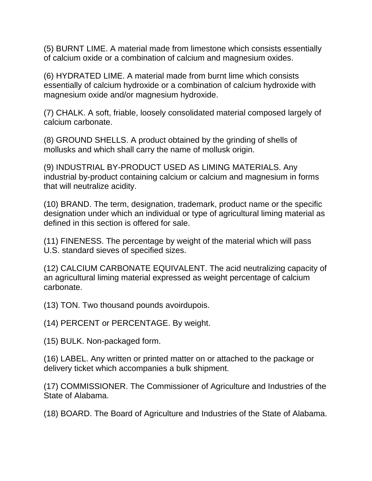(5) BURNT LIME. A material made from limestone which consists essentially of calcium oxide or a combination of calcium and magnesium oxides.

(6) HYDRATED LIME. A material made from burnt lime which consists essentially of calcium hydroxide or a combination of calcium hydroxide with magnesium oxide and/or magnesium hydroxide.

(7) CHALK. A soft, friable, loosely consolidated material composed largely of calcium carbonate.

(8) GROUND SHELLS. A product obtained by the grinding of shells of mollusks and which shall carry the name of mollusk origin.

(9) INDUSTRIAL BY-PRODUCT USED AS LIMING MATERIALS. Any industrial by-product containing calcium or calcium and magnesium in forms that will neutralize acidity.

(10) BRAND. The term, designation, trademark, product name or the specific designation under which an individual or type of agricultural liming material as defined in this section is offered for sale.

(11) FINENESS. The percentage by weight of the material which will pass U.S. standard sieves of specified sizes.

(12) CALCIUM CARBONATE EQUIVALENT. The acid neutralizing capacity of an agricultural liming material expressed as weight percentage of calcium carbonate.

(13) TON. Two thousand pounds avoirdupois.

(14) PERCENT or PERCENTAGE. By weight.

(15) BULK. Non-packaged form.

(16) LABEL. Any written or printed matter on or attached to the package or delivery ticket which accompanies a bulk shipment.

(17) COMMISSIONER. The Commissioner of Agriculture and Industries of the State of Alabama.

(18) BOARD. The Board of Agriculture and Industries of the State of Alabama.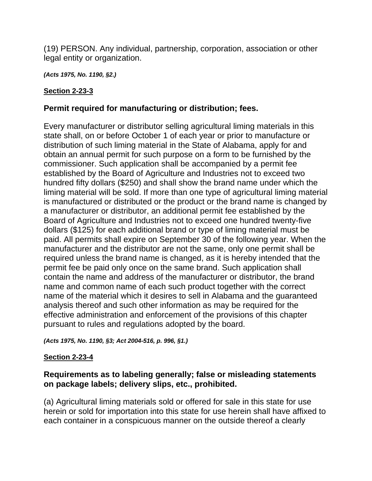(19) PERSON. Any individual, partnership, corporation, association or other legal entity or organization.

*(Acts 1975, No. 1190, §2.)* 

### **Section 2-23-3**

### **Permit required for manufacturing or distribution; fees.**

Every manufacturer or distributor selling agricultural liming materials in this state shall, on or before October 1 of each year or prior to manufacture or distribution of such liming material in the State of Alabama, apply for and obtain an annual permit for such purpose on a form to be furnished by the commissioner. Such application shall be accompanied by a permit fee established by the Board of Agriculture and Industries not to exceed two hundred fifty dollars (\$250) and shall show the brand name under which the liming material will be sold. If more than one type of agricultural liming material is manufactured or distributed or the product or the brand name is changed by a manufacturer or distributor, an additional permit fee established by the Board of Agriculture and Industries not to exceed one hundred twenty-five dollars (\$125) for each additional brand or type of liming material must be paid. All permits shall expire on September 30 of the following year. When the manufacturer and the distributor are not the same, only one permit shall be required unless the brand name is changed, as it is hereby intended that the permit fee be paid only once on the same brand. Such application shall contain the name and address of the manufacturer or distributor, the brand name and common name of each such product together with the correct name of the material which it desires to sell in Alabama and the guaranteed analysis thereof and such other information as may be required for the effective administration and enforcement of the provisions of this chapter pursuant to rules and regulations adopted by the board.

*(Acts 1975, No. 1190, §3; Act 2004-516, p. 996, §1.)*

### **Section 2-23-4**

### **Requirements as to labeling generally; false or misleading statements on package labels; delivery slips, etc., prohibited.**

(a) Agricultural liming materials sold or offered for sale in this state for use herein or sold for importation into this state for use herein shall have affixed to each container in a conspicuous manner on the outside thereof a clearly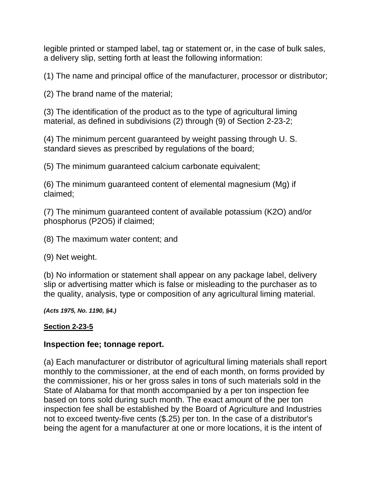legible printed or stamped label, tag or statement or, in the case of bulk sales, a delivery slip, setting forth at least the following information:

(1) The name and principal office of the manufacturer, processor or distributor;

(2) The brand name of the material;

(3) The identification of the product as to the type of agricultural liming material, as defined in subdivisions (2) through (9) of Section 2-23-2;

(4) The minimum percent guaranteed by weight passing through U. S. standard sieves as prescribed by regulations of the board;

(5) The minimum guaranteed calcium carbonate equivalent;

(6) The minimum guaranteed content of elemental magnesium (Mg) if claimed;

(7) The minimum guaranteed content of available potassium (K2O) and/or phosphorus (P2O5) if claimed;

(8) The maximum water content; and

(9) Net weight.

(b) No information or statement shall appear on any package label, delivery slip or advertising matter which is false or misleading to the purchaser as to the quality, analysis, type or composition of any agricultural liming material.

*(Acts 1975, No. 1190, §4.)*

### **Section 2-23-5**

### **Inspection fee; tonnage report.**

(a) Each manufacturer or distributor of agricultural liming materials shall report monthly to the commissioner, at the end of each month, on forms provided by the commissioner, his or her gross sales in tons of such materials sold in the State of Alabama for that month accompanied by a per ton inspection fee based on tons sold during such month. The exact amount of the per ton inspection fee shall be established by the Board of Agriculture and Industries not to exceed twenty-five cents (\$.25) per ton. In the case of a distributor's being the agent for a manufacturer at one or more locations, it is the intent of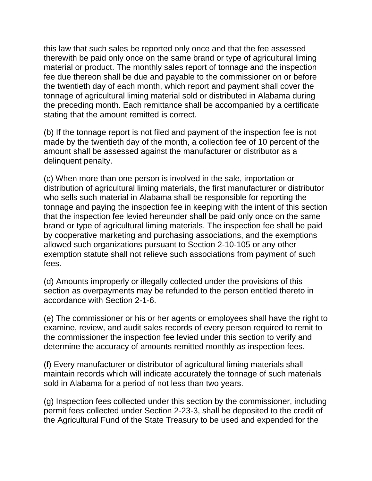this law that such sales be reported only once and that the fee assessed therewith be paid only once on the same brand or type of agricultural liming material or product. The monthly sales report of tonnage and the inspection fee due thereon shall be due and payable to the commissioner on or before the twentieth day of each month, which report and payment shall cover the tonnage of agricultural liming material sold or distributed in Alabama during the preceding month. Each remittance shall be accompanied by a certificate stating that the amount remitted is correct.

(b) If the tonnage report is not filed and payment of the inspection fee is not made by the twentieth day of the month, a collection fee of 10 percent of the amount shall be assessed against the manufacturer or distributor as a delinquent penalty.

(c) When more than one person is involved in the sale, importation or distribution of agricultural liming materials, the first manufacturer or distributor who sells such material in Alabama shall be responsible for reporting the tonnage and paying the inspection fee in keeping with the intent of this section that the inspection fee levied hereunder shall be paid only once on the same brand or type of agricultural liming materials. The inspection fee shall be paid by cooperative marketing and purchasing associations, and the exemptions allowed such organizations pursuant to Section 2-10-105 or any other exemption statute shall not relieve such associations from payment of such fees.

(d) Amounts improperly or illegally collected under the provisions of this section as overpayments may be refunded to the person entitled thereto in accordance with Section 2-1-6.

(e) The commissioner or his or her agents or employees shall have the right to examine, review, and audit sales records of every person required to remit to the commissioner the inspection fee levied under this section to verify and determine the accuracy of amounts remitted monthly as inspection fees.

(f) Every manufacturer or distributor of agricultural liming materials shall maintain records which will indicate accurately the tonnage of such materials sold in Alabama for a period of not less than two years.

(g) Inspection fees collected under this section by the commissioner, including permit fees collected under Section 2-23-3, shall be deposited to the credit of the Agricultural Fund of the State Treasury to be used and expended for the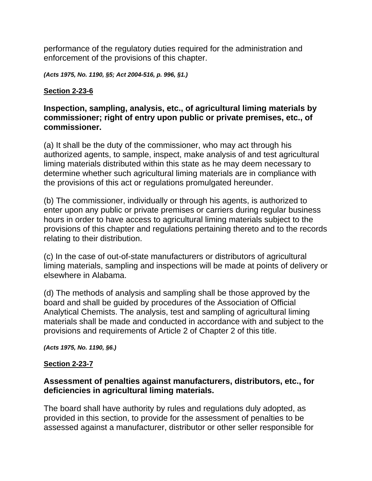performance of the regulatory duties required for the administration and enforcement of the provisions of this chapter.

*(Acts 1975, No. 1190, §5; Act 2004-516, p. 996, §1.)* 

### **Section 2-23-6**

### **Inspection, sampling, analysis, etc., of agricultural liming materials by commissioner; right of entry upon public or private premises, etc., of commissioner.**

(a) It shall be the duty of the commissioner, who may act through his authorized agents, to sample, inspect, make analysis of and test agricultural liming materials distributed within this state as he may deem necessary to determine whether such agricultural liming materials are in compliance with the provisions of this act or regulations promulgated hereunder.

(b) The commissioner, individually or through his agents, is authorized to enter upon any public or private premises or carriers during regular business hours in order to have access to agricultural liming materials subject to the provisions of this chapter and regulations pertaining thereto and to the records relating to their distribution.

(c) In the case of out-of-state manufacturers or distributors of agricultural liming materials, sampling and inspections will be made at points of delivery or elsewhere in Alabama.

(d) The methods of analysis and sampling shall be those approved by the board and shall be guided by procedures of the Association of Official Analytical Chemists. The analysis, test and sampling of agricultural liming materials shall be made and conducted in accordance with and subject to the provisions and requirements of Article 2 of Chapter 2 of this title.

*(Acts 1975, No. 1190, §6.)*

### **Section 2-23-7**

### **Assessment of penalties against manufacturers, distributors, etc., for deficiencies in agricultural liming materials.**

The board shall have authority by rules and regulations duly adopted, as provided in this section, to provide for the assessment of penalties to be assessed against a manufacturer, distributor or other seller responsible for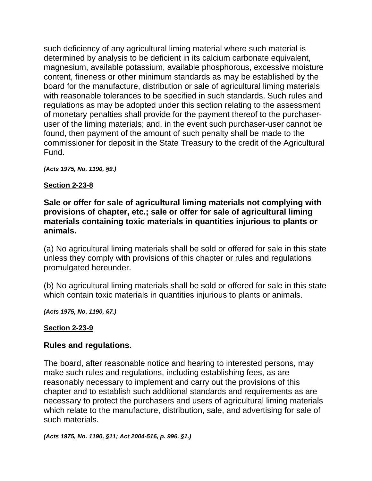such deficiency of any agricultural liming material where such material is determined by analysis to be deficient in its calcium carbonate equivalent, magnesium, available potassium, available phosphorous, excessive moisture content, fineness or other minimum standards as may be established by the board for the manufacture, distribution or sale of agricultural liming materials with reasonable tolerances to be specified in such standards. Such rules and regulations as may be adopted under this section relating to the assessment of monetary penalties shall provide for the payment thereof to the purchaseruser of the liming materials; and, in the event such purchaser-user cannot be found, then payment of the amount of such penalty shall be made to the commissioner for deposit in the State Treasury to the credit of the Agricultural Fund.

*(Acts 1975, No. 1190, §9.)* 

### **Section 2-23-8**

### **Sale or offer for sale of agricultural liming materials not complying with provisions of chapter, etc.; sale or offer for sale of agricultural liming materials containing toxic materials in quantities injurious to plants or animals.**

(a) No agricultural liming materials shall be sold or offered for sale in this state unless they comply with provisions of this chapter or rules and regulations promulgated hereunder.

(b) No agricultural liming materials shall be sold or offered for sale in this state which contain toxic materials in quantities injurious to plants or animals.

*(Acts 1975, No. 1190, §7.)*

### **Section 2-23-9**

### **Rules and regulations.**

The board, after reasonable notice and hearing to interested persons, may make such rules and regulations, including establishing fees, as are reasonably necessary to implement and carry out the provisions of this chapter and to establish such additional standards and requirements as are necessary to protect the purchasers and users of agricultural liming materials which relate to the manufacture, distribution, sale, and advertising for sale of such materials.

*(Acts 1975, No. 1190, §11; Act 2004-516, p. 996, §1.)*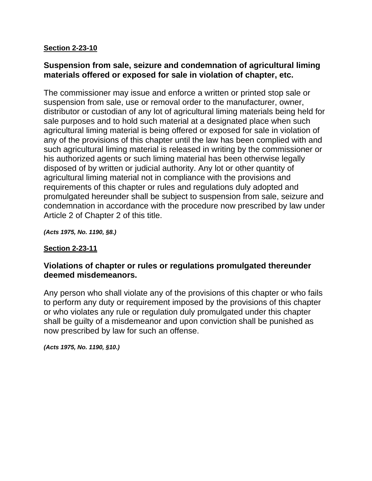### **Section 2-23-10**

### **Suspension from sale, seizure and condemnation of agricultural liming materials offered or exposed for sale in violation of chapter, etc.**

The commissioner may issue and enforce a written or printed stop sale or suspension from sale, use or removal order to the manufacturer, owner, distributor or custodian of any lot of agricultural liming materials being held for sale purposes and to hold such material at a designated place when such agricultural liming material is being offered or exposed for sale in violation of any of the provisions of this chapter until the law has been complied with and such agricultural liming material is released in writing by the commissioner or his authorized agents or such liming material has been otherwise legally disposed of by written or judicial authority. Any lot or other quantity of agricultural liming material not in compliance with the provisions and requirements of this chapter or rules and regulations duly adopted and promulgated hereunder shall be subject to suspension from sale, seizure and condemnation in accordance with the procedure now prescribed by law under Article 2 of Chapter 2 of this title.

*(Acts 1975, No. 1190, §8.)*

### **Section 2-23-11**

### **Violations of chapter or rules or regulations promulgated thereunder deemed misdemeanors.**

Any person who shall violate any of the provisions of this chapter or who fails to perform any duty or requirement imposed by the provisions of this chapter or who violates any rule or regulation duly promulgated under this chapter shall be guilty of a misdemeanor and upon conviction shall be punished as now prescribed by law for such an offense.

*(Acts 1975, No. 1190, §10.)*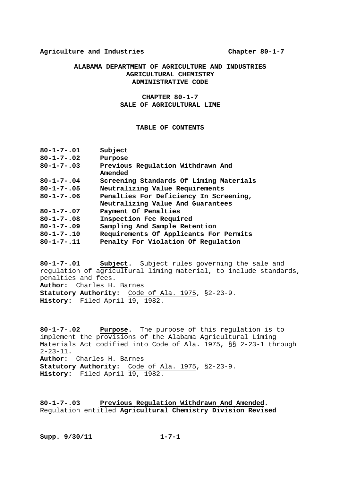#### **ALABAMA DEPARTMENT OF AGRICULTURE AND INDUSTRIES AGRICULTURAL CHEMISTRY ADMINISTRATIVE CODE**

#### **CHAPTER 80-1-7 SALE OF AGRICULTURAL LIME**

#### **TABLE OF CONTENTS**

| $80 - 1 - 7 - 02$<br>Purpose<br>Previous Regulation Withdrawn And<br>$80 - 1 - 7 - .03$<br>Amended<br>$80 - 1 - 7 - .04$<br>Screening Standards Of Liming Materials<br>Neutralizing Value Requirements<br>$80 - 1 - 7 - .05$<br>Penalties For Deficiency In Screening,<br>$80 - 1 - 7 - 06$<br>Neutralizing Value And Guarantees<br>$80 - 1 - 7 - 07$<br>Payment Of Penalties<br>Inspection Fee Required<br>$80 - 1 - 7 - .08$ |  |
|--------------------------------------------------------------------------------------------------------------------------------------------------------------------------------------------------------------------------------------------------------------------------------------------------------------------------------------------------------------------------------------------------------------------------------|--|
|                                                                                                                                                                                                                                                                                                                                                                                                                                |  |
|                                                                                                                                                                                                                                                                                                                                                                                                                                |  |
|                                                                                                                                                                                                                                                                                                                                                                                                                                |  |
|                                                                                                                                                                                                                                                                                                                                                                                                                                |  |
|                                                                                                                                                                                                                                                                                                                                                                                                                                |  |
|                                                                                                                                                                                                                                                                                                                                                                                                                                |  |
|                                                                                                                                                                                                                                                                                                                                                                                                                                |  |
|                                                                                                                                                                                                                                                                                                                                                                                                                                |  |
| $80 - 1 - 7 - 09$<br>Sampling And Sample Retention                                                                                                                                                                                                                                                                                                                                                                             |  |
| $80 - 1 - 7 - 10$<br>Requirements Of Applicants For Permits                                                                                                                                                                                                                                                                                                                                                                    |  |
| Penalty For Violation Of Regulation<br>$80 - 1 - 7 - .11$                                                                                                                                                                                                                                                                                                                                                                      |  |

**80-1-7-.01 Subject.** Subject rules governing the sale and regulation of agricultural liming material, to include standards, penalties and fees. **Author:** Charles H. Barnes **Statutory Authority:** Code of Ala. 1975, §2-23-9. History: Filed April 19, 1982.

**80-1-7-.02 Purpose.** The purpose of this regulation is to implement the provisions of the Alabama Agricultural Liming Materials Act codified into Code of Ala. 1975, §§ 2-23-1 through  $2 - 23 - 11$ . **Author:** Charles H. Barnes **Statutory Authority:** Code of Ala. 1975, §2-23-9. **History:** Filed April 19, 1982.

**80-1-7-.03 Previous Regulation Withdrawn And Amended.**  Regulation entitled **Agricultural Chemistry Division Revised**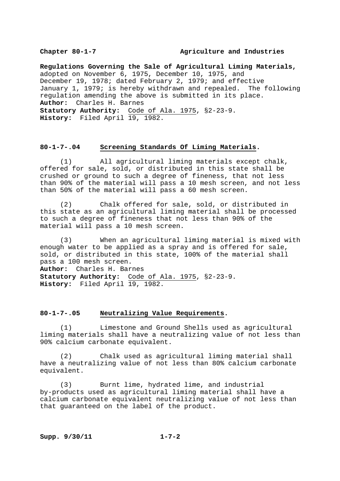#### Chapter 80-1-7 **Agriculture** and Industries

**Regulations Governing the Sale of Agricultural Liming Materials,** adopted on November 6, 1975, December 10, 1975, and December 19, 1978; dated February 2, 1979; and effective January 1, 1979; is hereby withdrawn and repealed. The following regulation amending the above is submitted in its place. **Author:** Charles H. Barnes **Statutory Authority:** Code of Ala. 1975, §2-23-9. **History:** Filed April 19, 1982.

#### **80-1-7-.04 Screening Standards Of Liming Materials.**

 (1) All agricultural liming materials except chalk, offered for sale, sold, or distributed in this state shall be crushed or ground to such a degree of fineness, that not less than 90% of the material will pass a 10 mesh screen, and not less than 50% of the material will pass a 60 mesh screen.

 (2) Chalk offered for sale, sold, or distributed in this state as an agricultural liming material shall be processed to such a degree of fineness that not less than 90% of the material will pass a 10 mesh screen.

 (3) When an agricultural liming material is mixed with enough water to be applied as a spray and is offered for sale, sold, or distributed in this state, 100% of the material shall pass a 100 mesh screen. **Author:** Charles H. Barnes

**Statutory Authority:** Code of Ala. 1975, §2-23-9. **History:** Filed April 19, 1982.

#### **80-1-7-.05 Neutralizing Value Requirements.**

 (1) Limestone and Ground Shells used as agricultural liming materials shall have a neutralizing value of not less than 90% calcium carbonate equivalent.

 (2) Chalk used as agricultural liming material shall have a neutralizing value of not less than 80% calcium carbonate equivalent.

 (3) Burnt lime, hydrated lime, and industrial by-products used as agricultural liming material shall have a calcium carbonate equivalent neutralizing value of not less than that guaranteed on the label of the product.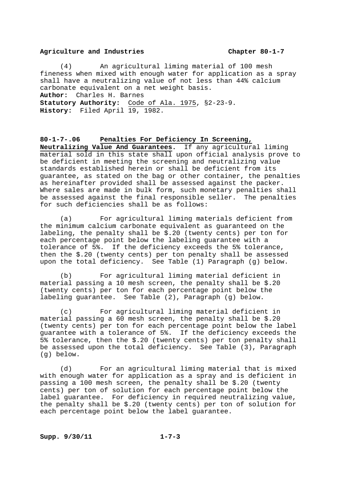(4) An agricultural liming material of 100 mesh fineness when mixed with enough water for application as a spray shall have a neutralizing value of not less than 44% calcium carbonate equivalent on a net weight basis. **Author:** Charles H. Barnes **Statutory Authority:** Code of Ala. 1975, §2-23-9. History: Filed April 19, 1982.

#### **80-1-7-.06 Penalties For Deficiency In Screening,**

**Neutralizing Value And Guarantees.** If any agricultural liming material sold in this state shall upon official analysis prove to be deficient in meeting the screening and neutralizing value standards established herein or shall be deficient from its guarantee, as stated on the bag or other container, the penalties as hereinafter provided shall be assessed against the packer. Where sales are made in bulk form, such monetary penalties shall be assessed against the final responsible seller. The penalties for such deficiencies shall be as follows:

 (a) For agricultural liming materials deficient from the minimum calcium carbonate equivalent as guaranteed on the labeling, the penalty shall be \$.20 (twenty cents) per ton for each percentage point below the labeling guarantee with a tolerance of 5%. If the deficiency exceeds the 5% tolerance, then the \$.20 (twenty cents) per ton penalty shall be assessed upon the total deficiency. See Table (1) Paragraph (g) below.

 (b) For agricultural liming material deficient in material passing a 10 mesh screen, the penalty shall be \$.20 (twenty cents) per ton for each percentage point below the labeling guarantee. See Table (2), Paragraph (g) below.

 (c) For agricultural liming material deficient in material passing a 60 mesh screen, the penalty shall be \$.20 (twenty cents) per ton for each percentage point below the label guarantee with a tolerance of 5%. If the deficiency exceeds the 5% tolerance, then the \$.20 (twenty cents) per ton penalty shall be assessed upon the total deficiency. See Table (3), Paragraph (g) below.

 (d) For an agricultural liming material that is mixed with enough water for application as a spray and is deficient in passing a 100 mesh screen, the penalty shall be \$.20 (twenty cents) per ton of solution for each percentage point below the label guarantee. For deficiency in required neutralizing value, the penalty shall be \$.20 (twenty cents) per ton of solution for each percentage point below the label guarantee.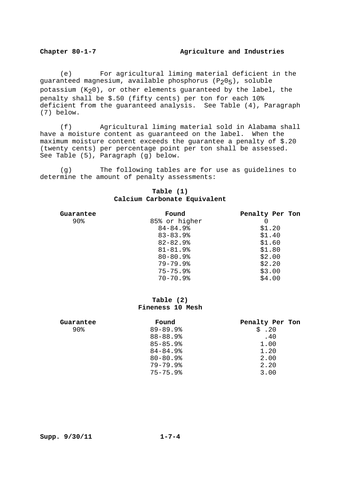#### **Chapter 80-1-7 Agriculture and Industries**

 (e) For agricultural liming material deficient in the guaranteed magnesium, available phosphorus (P205), soluble potassium  $(K_20)$ , or other elements guaranteed by the label, the penalty shall be \$.50 (fifty cents) per ton for each 10% deficient from the guaranteed analysis. See Table (4), Paragraph (7) below.

 (f) Agricultural liming material sold in Alabama shall have a moisture content as guaranteed on the label. When the maximum moisture content exceeds the guarantee a penalty of \$.20 (twenty cents) per percentage point per ton shall be assessed. See Table (5), Paragraph (g) below.

 (g) The following tables are for use as guidelines to determine the amount of penalty assessments:

#### **Table (1) Calcium Carbonate Equivalent**

| Guarantee | Found                    | Penalty Per Ton |
|-----------|--------------------------|-----------------|
| 90%       | 85% or higher            | O               |
|           | $84 - 84.9$              | \$1.20          |
|           | $83 - 83.9$              | \$1.40          |
|           | $82 - 82.9$              | \$1.60          |
|           | $81 - 81.9$ <sup>8</sup> | \$1.80          |
|           | $80 - 80.9$              | \$2.00          |
|           | $79 - 79.9$              | \$2.20          |
|           | $75 - 75.9$              | \$3.00          |
|           | $70 - 70.9$              | \$4.00          |

### **Table (2) Fineness 10 Mesh**

| Guarantee | Found       | Penalty Per Ton |
|-----------|-------------|-----------------|
| 90%       | $89 - 89.9$ | \$.20           |
|           | $88 - 88.9$ | .40             |
|           | $85 - 85.9$ | 1.00            |
|           | $84 - 84.9$ | 1.20            |
|           | $80 - 80.9$ | 2.00            |
|           | $79 - 79.9$ | 2.20            |
|           | $75 - 75.9$ | 3.00            |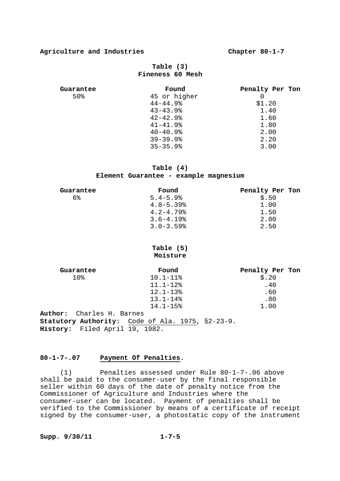### **Table (3) Fineness 60 Mesh**

| Guarantee | Found                    | Penalty Per Ton |
|-----------|--------------------------|-----------------|
| 50%       | 45 or higher             |                 |
|           | $44 - 44.9$              | \$1.20          |
|           | $43 - 43.9$ <sup>8</sup> | 1.40            |
|           | $42 - 42.9$              | 1.60            |
|           | $41 - 41.9$              | 1.80            |
|           | $40 - 40.9$              | 2.00            |
|           | $39 - 39.9$              | 2.20            |
|           | $35 - 35.9$              | 3.00            |

#### **Table (4)**

#### **Element Guarantee - example magnesium**

| Guarantee | Found                     | Penalty Per Ton |
|-----------|---------------------------|-----------------|
| 6%        | $5.4 - 5.9$               | \$.50           |
|           | $4.8 - 5.39$ <sup>8</sup> | 1.00            |
|           | $4.2 - 4.79$              | 1.50            |
|           | $3.6 - 4.19$              | 2.00            |
|           | $3.0 - 3.59$              | 2.50            |

#### **Table (5) Moisture**

| Guarantee                      | Found                                                   | Penalty Per Ton |
|--------------------------------|---------------------------------------------------------|-----------------|
| 10 <sub>8</sub>                | $10.1 - 11$ $8$                                         | \$.20           |
|                                | $11.1 - 12$ %                                           | .40             |
|                                | $12.1 - 138$                                            | .60             |
|                                | $13.1 - 148$                                            | .80             |
|                                | $14.1 - 15$                                             | 1.00            |
| Author: Charles H. Barnes      |                                                         |                 |
|                                | <b>Statutory Authority:</b> Code of Ala. 1975, §2-23-9. |                 |
| History: Filed April 19, 1982. |                                                         |                 |

#### **80-1-7-.07 Payment Of Penalties.**

 (1) Penalties assessed under Rule 80-1-7-.06 above shall be paid to the consumer-user by the final responsible seller within 60 days of the date of penalty notice from the Commissioner of Agriculture and Industries where the consumer-user can be located. Payment of penalties shall be verified to the Commissioner by means of a certificate of receipt signed by the consumer-user, a photostatic copy of the instrument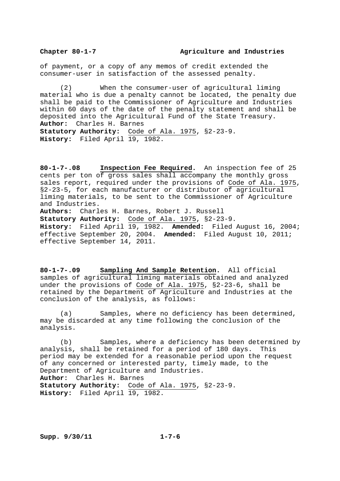of payment, or a copy of any memos of credit extended the consumer-user in satisfaction of the assessed penalty.

 (2) When the consumer-user of agricultural liming material who is due a penalty cannot be located, the penalty due shall be paid to the Commissioner of Agriculture and Industries within 60 days of the date of the penalty statement and shall be deposited into the Agricultural Fund of the State Treasury. **Author:** Charles H. Barnes **Statutory Authority:** Code of Ala. 1975, §2-23-9. **History:** Filed April 19, 1982.

**80-1-7-.08 Inspection Fee Required.** An inspection fee of 25 cents per ton of gross sales shall accompany the monthly gross sales report, required under the provisions of Code of Ala. 1975, §2-23-5, for each manufacturer or distributor of agricultural liming materials, to be sent to the Commissioner of Agriculture and Industries.

**Authors:** Charles H. Barnes, Robert J. Russell

**Statutory Authority:** Code of Ala. 1975, §2-23-9. **History:** Filed April 19, 1982. **Amended:** Filed August 16, 2004; effective September 20, 2004. **Amended:** Filed August 10, 2011; effective September 14, 2011.

**80-1-7-.09 Sampling And Sample Retention.** All official samples of agricultural liming materials obtained and analyzed under the provisions of Code of Ala. 1975, §2-23-6, shall be retained by the Department of Agriculture and Industries at the conclusion of the analysis, as follows:

 (a) Samples, where no deficiency has been determined, may be discarded at any time following the conclusion of the analysis.

 (b) Samples, where a deficiency has been determined by analysis, shall be retained for a period of 180 days. This period may be extended for a reasonable period upon the request of any concerned or interested party, timely made, to the Department of Agriculture and Industries. **Author:** Charles H. Barnes **Statutory Authority:** Code of Ala. 1975, §2-23-9. **History:** Filed April 19, 1982.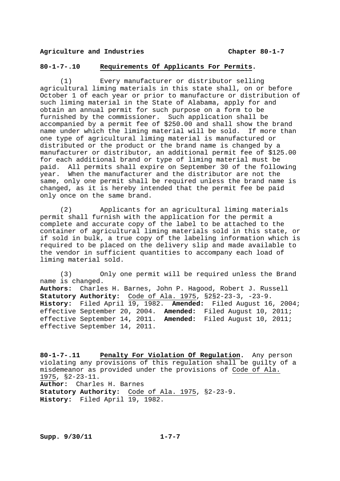#### **80-1-7-.10 Requirements Of Applicants For Permits.**

 (1) Every manufacturer or distributor selling agricultural liming materials in this state shall, on or before October 1 of each year or prior to manufacture or distribution of such liming material in the State of Alabama, apply for and obtain an annual permit for such purpose on a form to be furnished by the commissioner. Such application shall be accompanied by a permit fee of \$250.00 and shall show the brand name under which the liming material will be sold. If more than one type of agricultural liming material is manufactured or distributed or the product or the brand name is changed by a manufacturer or distributor, an additional permit fee of \$125.00 for each additional brand or type of liming material must be paid. All permits shall expire on September 30 of the following year. When the manufacturer and the distributor are not the same, only one permit shall be required unless the brand name is changed, as it is hereby intended that the permit fee be paid only once on the same brand.

 (2) Applicants for an agricultural liming materials permit shall furnish with the application for the permit a complete and accurate copy of the label to be attached to the container of agricultural liming materials sold in this state, or if sold in bulk, a true copy of the labeling information which is required to be placed on the delivery slip and made available to the vendor in sufficient quantities to accompany each load of liming material sold.

 (3) Only one permit will be required unless the Brand name is changed. **Authors:** Charles H. Barnes, John P. Hagood, Robert J. Russell **Statutory Authority:** Code of Ala. 1975, §2§2-23-3, -23-9. **History:** Filed April 19, 1982. **Amended:** Filed August 16, 2004; effective September 20, 2004. **Amended:** Filed August 10, 2011; effective September 14, 2011. **Amended:** Filed August 10, 2011; effective September 14, 2011.

**80-1-7-.11 Penalty For Violation Of Regulation.** Any person violating any provisions of this regulation shall be guilty of a misdemeanor as provided under the provisions of Code of Ala. 1975, §2-23-11. **Author:** Charles H. Barnes **Statutory Authority:** Code of Ala. 1975, §2-23-9. **History:** Filed April 19, 1982.